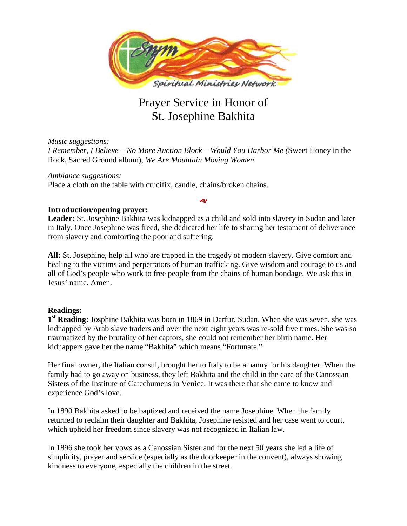

# Prayer Service in Honor of St. Josephine Bakhita

*Music suggestions: I Remember, I Believe – No More Auction Block – Would You Harbor Me (*Sweet Honey in the Rock, Sacred Ground album), *We Are Mountain Moving Women.*

*Ambiance suggestions:* Place a cloth on the table with crucifix, candle, chains/broken chains.

# **Introduction/opening prayer:**

**Leader:** St. Josephine Bakhita was kidnapped as a child and sold into slavery in Sudan and later in Italy. Once Josephine was freed, she dedicated her life to sharing her testament of deliverance from slavery and comforting the poor and suffering.

رجا

**All:** St. Josephine, help all who are trapped in the tragedy of modern slavery. Give comfort and healing to the victims and perpetrators of human trafficking. Give wisdom and courage to us and all of God's people who work to free people from the chains of human bondage. We ask this in Jesus' name. Amen.

## **Readings:**

**1st Reading:** Josphine Bakhita was born in 1869 in Darfur, Sudan. When she was seven, she was kidnapped by Arab slave traders and over the next eight years was re-sold five times. She was so traumatized by the brutality of her captors, she could not remember her birth name. Her kidnappers gave her the name "Bakhita" which means "Fortunate."

Her final owner, the Italian consul, brought her to Italy to be a nanny for his daughter. When the family had to go away on business, they left Bakhita and the child in the care of the Canossian Sisters of the Institute of Catechumens in Venice. It was there that she came to know and experience God's love.

In 1890 Bakhita asked to be baptized and received the name Josephine. When the family returned to reclaim their daughter and Bakhita, Josephine resisted and her case went to court, which upheld her freedom since slavery was not recognized in Italian law.

In 1896 she took her vows as a Canossian Sister and for the next 50 years she led a life of simplicity, prayer and service (especially as the doorkeeper in the convent), always showing kindness to everyone, especially the children in the street.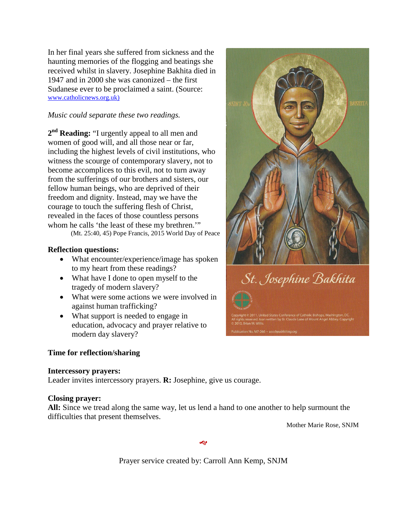In her final years she suffered from sickness and the haunting memories of the flogging and beatings she received whilst in slavery. Josephine Bakhita died in 1947 and in 2000 she was canonized – the first Sudanese ever to be proclaimed a saint. (Source: [www.catholicnews.org.uk\)](http://www.catholicnews.org.uk/)

# *Music could separate these two readings.*

2<sup>nd</sup> **Reading:** "I urgently appeal to all men and women of good will, and all those near or far, including the highest levels of civil institutions, who witness the scourge of contemporary slavery, not to become accomplices to this evil, not to turn away from the sufferings of our brothers and sisters, our fellow human beings, who are deprived of their freedom and dignity. Instead, may we have the courage to touch the suffering flesh of Christ, revealed in the faces of those countless persons whom he calls 'the least of these my brethren.'"

(Mt. 25:40, 45) Pope Francis, 2015 World Day of Peace

## **Reflection questions:**

- What encounter/experience/image has spoken to my heart from these readings?
- What have I done to open myself to the tragedy of modern slavery?
- What were some actions we were involved in against human trafficking?
- What support is needed to engage in education, advocacy and prayer relative to modern day slavery?

### **Time for reflection/sharing**

### **Intercessory prayers:**

Leader invites intercessory prayers. **R:** Josephine, give us courage.

### **Closing prayer:**

**All:** Since we tread along the same way, let us lend a hand to one another to help surmount the difficulties that present themselves.

Mother Marie Rose, SNJM



Prayer service created by: Carroll Ann Kemp, SNJM